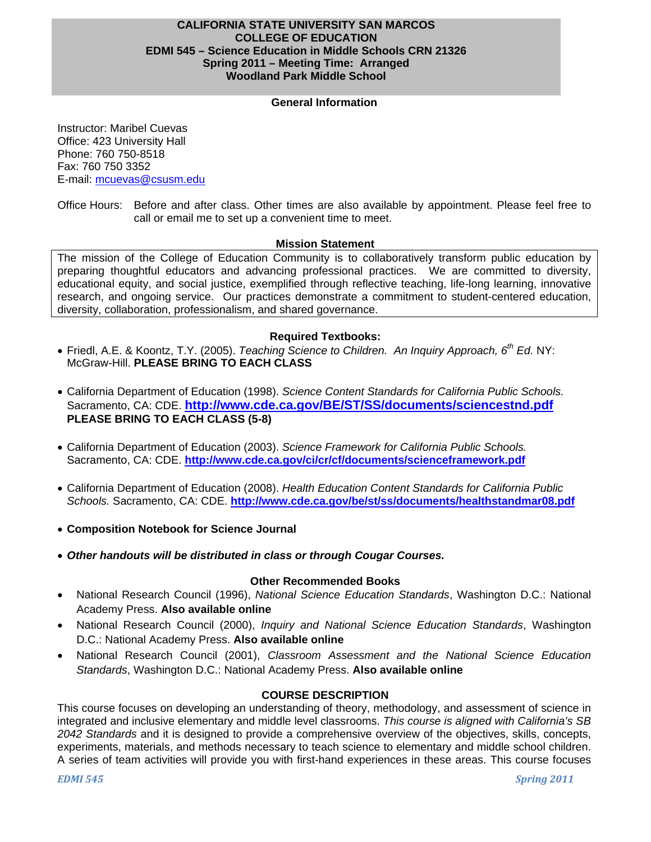### **CALIFORNIA STATE UNIVERSITY SAN MARCOS COLLEGE OF EDUCATION EDMI 545 – Science Education in Middle Schools CRN 21326 Spring 2011 – Meeting Time: Arranged Woodland Park Middle School**

## **General Information**

Instructor: Maribel Cuevas Office: 423 University Hall Phone: 760 750-8518 Fax: 760 750 3352 E-mail: mcuevas@csusm.edu

Office Hours: Before and after class. Other times are also available by appointment. Please feel free to call or email me to set up a convenient time to meet.

#### **Mission Statement**

The mission of the College of Education Community is to collaboratively transform public education by preparing thoughtful educators and advancing professional practices. We are committed to diversity, educational equity, and social justice, exemplified through reflective teaching, life-long learning, innovative research, and ongoing service. Our practices demonstrate a commitment to student-centered education, diversity, collaboration, professionalism, and shared governance.

#### **Required Textbooks:**

- Friedl, A.E. & Koontz, T.Y. (2005). *Teaching Science to Children. An Inquiry Approach, 6th Ed.* NY: McGraw-Hill. **PLEASE BRING TO EACH CLASS**
- California Department of Education (1998). *Science Content Standards for California Public Schools.*  Sacramento, CA: CDE. **http://www.cde.ca.gov/BE/ST/SS/documents/sciencestnd.pdf PLEASE BRING TO EACH CLASS (5-8)**
- California Department of Education (2003). *Science Framework for California Public Schools.*  Sacramento, CA: CDE. **http://www.cde.ca.gov/ci/cr/cf/documents/scienceframework.pdf**
- California Department of Education (2008). *Health Education Content Standards for California Public Schools.* Sacramento, CA: CDE. **http://www.cde.ca.gov/be/st/ss/documents/healthstandmar08.pdf**
- **Composition Notebook for Science Journal**
- *Other handouts will be distributed in class or through Cougar Courses.*

#### **Other Recommended Books**

- National Research Council (1996), *National Science Education Standards*, Washington D.C.: National Academy Press. **Also available online**
- National Research Council (2000), *Inquiry and National Science Education Standards*, Washington D.C.: National Academy Press. **Also available online**
- National Research Council (2001), *Classroom Assessment and the National Science Education Standards*, Washington D.C.: National Academy Press. **Also available online**

#### **COURSE DESCRIPTION**

This course focuses on developing an understanding of theory, methodology, and assessment of science in integrated and inclusive elementary and middle level classrooms. *This course is aligned with California's SB 2042 Standards* and it is designed to provide a comprehensive overview of the objectives, skills, concepts, experiments, materials, and methods necessary to teach science to elementary and middle school children. A series of team activities will provide you with first-hand experiences in these areas. This course focuses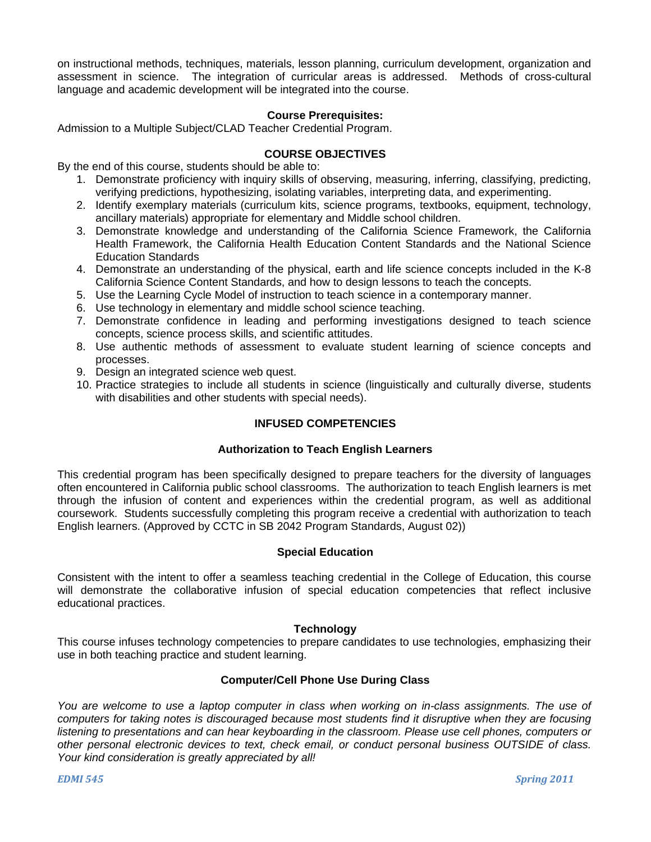on instructional methods, techniques, materials, lesson planning, curriculum development, organization and assessment in science. The integration of curricular areas is addressed. Methods of cross-cultural language and academic development will be integrated into the course.

#### **Course Prerequisites:**

Admission to a Multiple Subject/CLAD Teacher Credential Program.

#### **COURSE OBJECTIVES**

By the end of this course, students should be able to:

- 1. Demonstrate proficiency with inquiry skills of observing, measuring, inferring, classifying, predicting, verifying predictions, hypothesizing, isolating variables, interpreting data, and experimenting.
- 2. Identify exemplary materials (curriculum kits, science programs, textbooks, equipment, technology, ancillary materials) appropriate for elementary and Middle school children.
- 3. Demonstrate knowledge and understanding of the California Science Framework, the California Health Framework, the California Health Education Content Standards and the National Science Education Standards
- 4. Demonstrate an understanding of the physical, earth and life science concepts included in the K-8 California Science Content Standards, and how to design lessons to teach the concepts.
- 5. Use the Learning Cycle Model of instruction to teach science in a contemporary manner.
- 6. Use technology in elementary and middle school science teaching.
- 7. Demonstrate confidence in leading and performing investigations designed to teach science concepts, science process skills, and scientific attitudes.
- 8. Use authentic methods of assessment to evaluate student learning of science concepts and processes.
- 9. Design an integrated science web quest.
- 10. Practice strategies to include all students in science (linguistically and culturally diverse, students with disabilities and other students with special needs).

## **INFUSED COMPETENCIES**

#### **Authorization to Teach English Learners**

This credential program has been specifically designed to prepare teachers for the diversity of languages often encountered in California public school classrooms. The authorization to teach English learners is met through the infusion of content and experiences within the credential program, as well as additional coursework. Students successfully completing this program receive a credential with authorization to teach English learners. (Approved by CCTC in SB 2042 Program Standards, August 02))

#### **Special Education**

Consistent with the intent to offer a seamless teaching credential in the College of Education, this course will demonstrate the collaborative infusion of special education competencies that reflect inclusive educational practices.

#### **Technology**

This course infuses technology competencies to prepare candidates to use technologies, emphasizing their use in both teaching practice and student learning.

## **Computer/Cell Phone Use During Class**

*You are welcome to use a laptop computer in class when working on in-class assignments. The use of computers for taking notes is discouraged because most students find it disruptive when they are focusing listening to presentations and can hear keyboarding in the classroom. Please use cell phones, computers or other personal electronic devices to text, check email, or conduct personal business OUTSIDE of class. Your kind consideration is greatly appreciated by all!*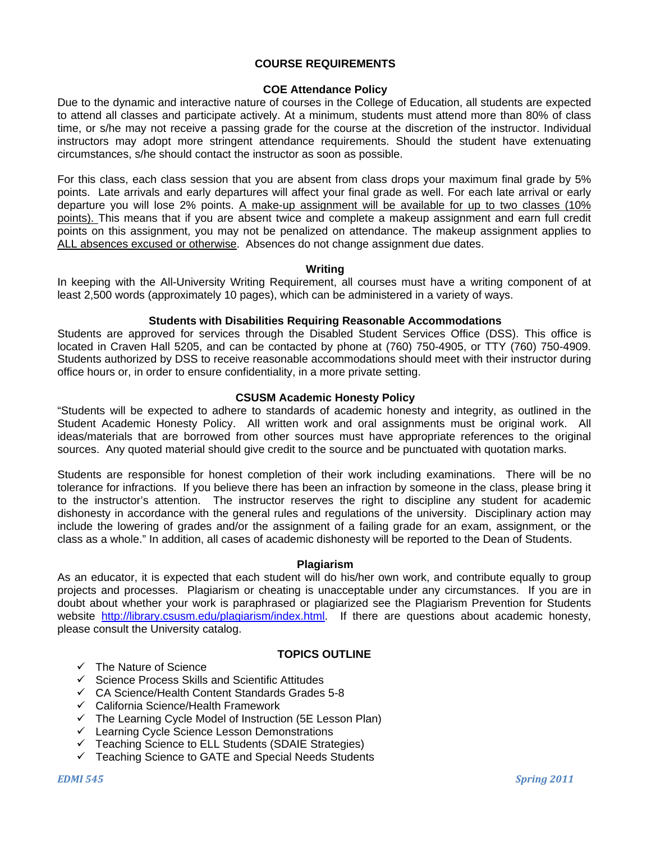#### **COURSE REQUIREMENTS**

## **COE Attendance Policy**

Due to the dynamic and interactive nature of courses in the College of Education, all students are expected to attend all classes and participate actively. At a minimum, students must attend more than 80% of class time, or s/he may not receive a passing grade for the course at the discretion of the instructor. Individual instructors may adopt more stringent attendance requirements. Should the student have extenuating circumstances, s/he should contact the instructor as soon as possible.

For this class, each class session that you are absent from class drops your maximum final grade by 5% points. Late arrivals and early departures will affect your final grade as well. For each late arrival or early departure you will lose 2% points. A make-up assignment will be available for up to two classes (10% points). This means that if you are absent twice and complete a makeup assignment and earn full credit points on this assignment, you may not be penalized on attendance. The makeup assignment applies to ALL absences excused or otherwise. Absences do not change assignment due dates.

#### **Writing**

In keeping with the All-University Writing Requirement, all courses must have a writing component of at least 2,500 words (approximately 10 pages), which can be administered in a variety of ways.

#### **Students with Disabilities Requiring Reasonable Accommodations**

Students are approved for services through the Disabled Student Services Office (DSS). This office is located in Craven Hall 5205, and can be contacted by phone at (760) 750-4905, or TTY (760) 750-4909. Students authorized by DSS to receive reasonable accommodations should meet with their instructor during office hours or, in order to ensure confidentiality, in a more private setting.

#### **CSUSM Academic Honesty Policy**

"Students will be expected to adhere to standards of academic honesty and integrity, as outlined in the Student Academic Honesty Policy. All written work and oral assignments must be original work. All ideas/materials that are borrowed from other sources must have appropriate references to the original sources. Any quoted material should give credit to the source and be punctuated with quotation marks.

Students are responsible for honest completion of their work including examinations. There will be no tolerance for infractions. If you believe there has been an infraction by someone in the class, please bring it to the instructor's attention. The instructor reserves the right to discipline any student for academic dishonesty in accordance with the general rules and regulations of the university. Disciplinary action may include the lowering of grades and/or the assignment of a failing grade for an exam, assignment, or the class as a whole." In addition, all cases of academic dishonesty will be reported to the Dean of Students.

#### **Plagiarism**

As an educator, it is expected that each student will do his/her own work, and contribute equally to group projects and processes. Plagiarism or cheating is unacceptable under any circumstances. If you are in doubt about whether your work is paraphrased or plagiarized see the Plagiarism Prevention for Students website http://library.csusm.edu/plagiarism/index.html. If there are questions about academic honesty, please consult the University catalog.

#### **TOPICS OUTLINE**

- $\checkmark$  The Nature of Science
- $\checkmark$  Science Process Skills and Scientific Attitudes
- $\checkmark$  CA Science/Health Content Standards Grades 5-8
- $\checkmark$  California Science/Health Framework
- $\checkmark$  The Learning Cycle Model of Instruction (5E Lesson Plan)
- $\checkmark$  Learning Cycle Science Lesson Demonstrations
- $\checkmark$  Teaching Science to ELL Students (SDAIE Strategies)
- $\checkmark$  Teaching Science to GATE and Special Needs Students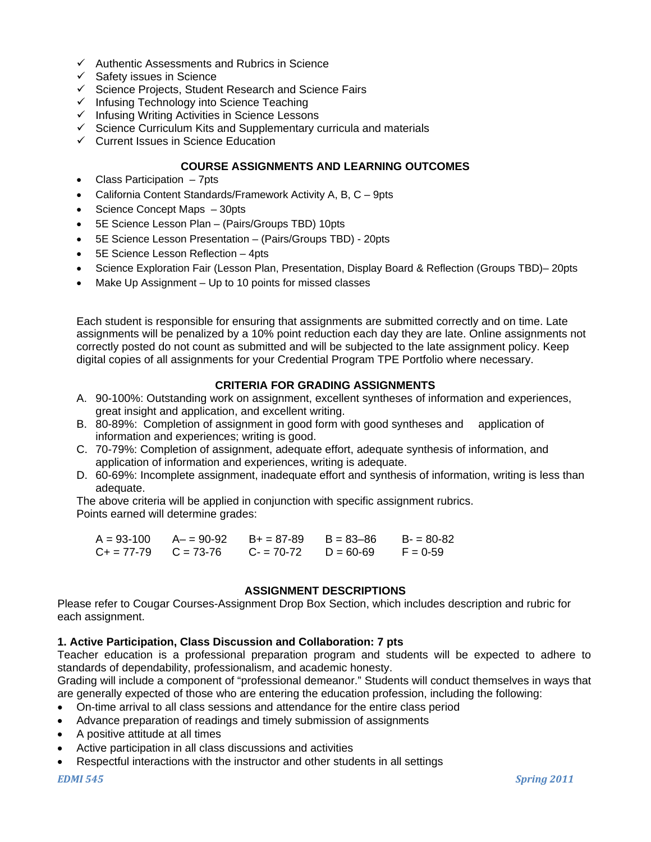- $\checkmark$  Authentic Assessments and Rubrics in Science
- $\checkmark$  Safety issues in Science
- $\checkmark$  Science Projects, Student Research and Science Fairs
- $\checkmark$  Infusing Technology into Science Teaching
- $\checkmark$  Infusing Writing Activities in Science Lessons
- $\checkmark$  Science Curriculum Kits and Supplementary curricula and materials
- $\checkmark$  Current Issues in Science Education

## **COURSE ASSIGNMENTS AND LEARNING OUTCOMES**

- Class Participation 7pts
- California Content Standards/Framework Activity A, B, C 9pts
- Science Concept Maps 30pts
- 5E Science Lesson Plan (Pairs/Groups TBD) 10pts
- 5E Science Lesson Presentation (Pairs/Groups TBD) 20pts
- 5E Science Lesson Reflection 4pts
- Science Exploration Fair (Lesson Plan, Presentation, Display Board & Reflection (Groups TBD)– 20pts
- Make Up Assignment Up to 10 points for missed classes

Each student is responsible for ensuring that assignments are submitted correctly and on time. Late assignments will be penalized by a 10% point reduction each day they are late. Online assignments not correctly posted do not count as submitted and will be subjected to the late assignment policy. Keep digital copies of all assignments for your Credential Program TPE Portfolio where necessary.

## **CRITERIA FOR GRADING ASSIGNMENTS**

- A. 90-100%: Outstanding work on assignment, excellent syntheses of information and experiences, great insight and application, and excellent writing.
- B. 80-89%: Completion of assignment in good form with good syntheses and application of information and experiences; writing is good.
- C. 70-79%: Completion of assignment, adequate effort, adequate synthesis of information, and application of information and experiences, writing is adequate.
- D. 60-69%: Incomplete assignment, inadequate effort and synthesis of information, writing is less than adequate.

The above criteria will be applied in conjunction with specific assignment rubrics. Points earned will determine grades:

| $A = 93 - 100$            | A- = 90-92 B+ = 87-89 | $B = 83 - 86$ | $B = 80-82$ |
|---------------------------|-----------------------|---------------|-------------|
| $C_+ = 77-79$ $C = 73-76$ | $C = 70-72$           | $D = 60-69$   | $F = 0.59$  |

#### **ASSIGNMENT DESCRIPTIONS**

Please refer to Cougar Courses-Assignment Drop Box Section, which includes description and rubric for each assignment.

#### **1. Active Participation, Class Discussion and Collaboration: 7 pts**

Teacher education is a professional preparation program and students will be expected to adhere to standards of dependability, professionalism, and academic honesty.

Grading will include a component of "professional demeanor." Students will conduct themselves in ways that are generally expected of those who are entering the education profession, including the following:

- On-time arrival to all class sessions and attendance for the entire class period
- Advance preparation of readings and timely submission of assignments
- A positive attitude at all times
- Active participation in all class discussions and activities
- Respectful interactions with the instructor and other students in all settings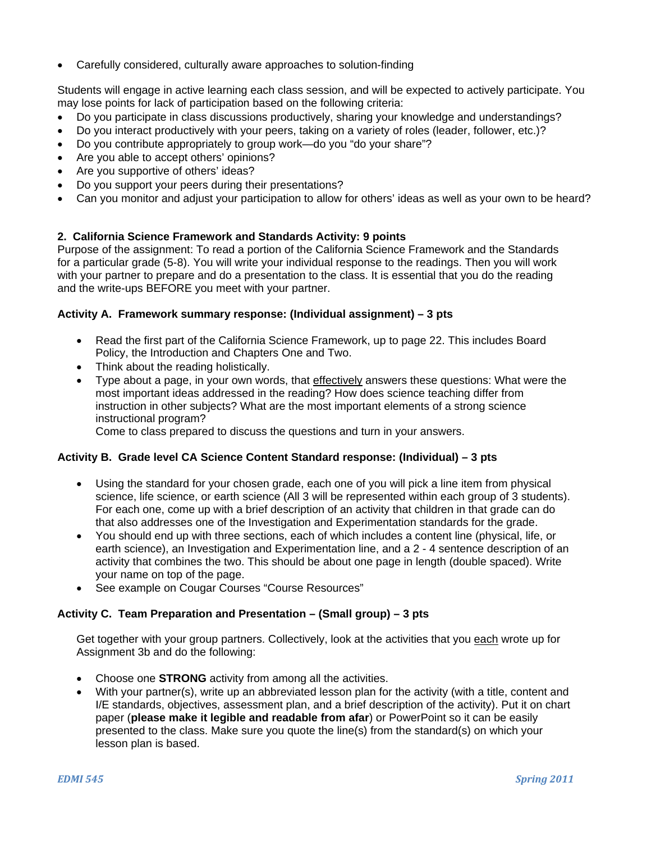Carefully considered, culturally aware approaches to solution-finding

Students will engage in active learning each class session, and will be expected to actively participate. You may lose points for lack of participation based on the following criteria:

- Do you participate in class discussions productively, sharing your knowledge and understandings?
- Do you interact productively with your peers, taking on a variety of roles (leader, follower, etc.)?
- Do you contribute appropriately to group work—do you "do your share"?
- Are you able to accept others' opinions?
- Are you supportive of others' ideas?
- Do you support your peers during their presentations?
- Can you monitor and adjust your participation to allow for others' ideas as well as your own to be heard?

## **2. California Science Framework and Standards Activity: 9 points**

Purpose of the assignment: To read a portion of the California Science Framework and the Standards for a particular grade (5-8). You will write your individual response to the readings. Then you will work with your partner to prepare and do a presentation to the class. It is essential that you do the reading and the write-ups BEFORE you meet with your partner.

## **Activity A. Framework summary response: (Individual assignment) – 3 pts**

- Read the first part of the California Science Framework, up to page 22. This includes Board Policy, the Introduction and Chapters One and Two.
- Think about the reading holistically.
- Type about a page, in your own words, that effectively answers these questions: What were the most important ideas addressed in the reading? How does science teaching differ from instruction in other subjects? What are the most important elements of a strong science instructional program?

Come to class prepared to discuss the questions and turn in your answers.

## **Activity B. Grade level CA Science Content Standard response: (Individual) – 3 pts**

- Using the standard for your chosen grade, each one of you will pick a line item from physical science, life science, or earth science (All 3 will be represented within each group of 3 students). For each one, come up with a brief description of an activity that children in that grade can do that also addresses one of the Investigation and Experimentation standards for the grade.
- You should end up with three sections, each of which includes a content line (physical, life, or earth science), an Investigation and Experimentation line, and a 2 - 4 sentence description of an activity that combines the two. This should be about one page in length (double spaced). Write your name on top of the page.
- See example on Cougar Courses "Course Resources"

## **Activity C. Team Preparation and Presentation – (Small group) – 3 pts**

Get together with your group partners. Collectively, look at the activities that you each wrote up for Assignment 3b and do the following:

- Choose one **STRONG** activity from among all the activities.
- With your partner(s), write up an abbreviated lesson plan for the activity (with a title, content and I/E standards, objectives, assessment plan, and a brief description of the activity). Put it on chart paper (**please make it legible and readable from afar**) or PowerPoint so it can be easily presented to the class. Make sure you quote the line(s) from the standard(s) on which your lesson plan is based.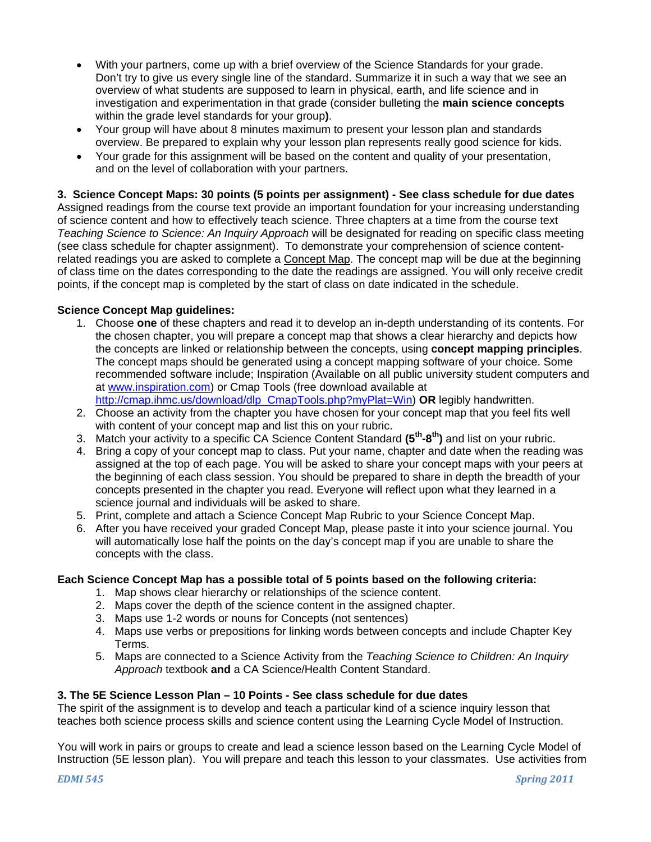- With your partners, come up with a brief overview of the Science Standards for your grade. Don't try to give us every single line of the standard. Summarize it in such a way that we see an overview of what students are supposed to learn in physical, earth, and life science and in investigation and experimentation in that grade (consider bulleting the **main science concepts**  within the grade level standards for your group**)**.
- Your group will have about 8 minutes maximum to present your lesson plan and standards overview. Be prepared to explain why your lesson plan represents really good science for kids.
- Your grade for this assignment will be based on the content and quality of your presentation, and on the level of collaboration with your partners.

## **3. Science Concept Maps: 30 points (5 points per assignment) - See class schedule for due dates**

Assigned readings from the course text provide an important foundation for your increasing understanding of science content and how to effectively teach science. Three chapters at a time from the course text *Teaching Science to Science: An Inquiry Approach* will be designated for reading on specific class meeting (see class schedule for chapter assignment). To demonstrate your comprehension of science contentrelated readings you are asked to complete a Concept Map. The concept map will be due at the beginning of class time on the dates corresponding to the date the readings are assigned. You will only receive credit points, if the concept map is completed by the start of class on date indicated in the schedule.

## **Science Concept Map guidelines:**

- 1. Choose **one** of these chapters and read it to develop an in-depth understanding of its contents. For the chosen chapter, you will prepare a concept map that shows a clear hierarchy and depicts how the concepts are linked or relationship between the concepts, using **concept mapping principles**. The concept maps should be generated using a concept mapping software of your choice. Some recommended software include; Inspiration (Available on all public university student computers and at www.inspiration.com) or Cmap Tools (free download available at http://cmap.ihmc.us/download/dlp\_CmapTools.php?myPlat=Win) **OR** legibly handwritten.
- 2. Choose an activity from the chapter you have chosen for your concept map that you feel fits well with content of your concept map and list this on your rubric.
- 3. Match your activity to a specific CA Science Content Standard **(5th-8th)** and list on your rubric.
- 4. Bring a copy of your concept map to class. Put your name, chapter and date when the reading was assigned at the top of each page. You will be asked to share your concept maps with your peers at the beginning of each class session. You should be prepared to share in depth the breadth of your concepts presented in the chapter you read. Everyone will reflect upon what they learned in a science journal and individuals will be asked to share.
- 5. Print, complete and attach a Science Concept Map Rubric to your Science Concept Map.
- 6. After you have received your graded Concept Map, please paste it into your science journal. You will automatically lose half the points on the day's concept map if you are unable to share the concepts with the class.

## **Each Science Concept Map has a possible total of 5 points based on the following criteria:**

- 1. Map shows clear hierarchy or relationships of the science content.
- 2. Maps cover the depth of the science content in the assigned chapter.
- 3. Maps use 1-2 words or nouns for Concepts (not sentences)
- 4. Maps use verbs or prepositions for linking words between concepts and include Chapter Key Terms.
- 5. Maps are connected to a Science Activity from the *Teaching Science to Children: An Inquiry Approach* textbook **and** a CA Science/Health Content Standard.

## **3. The 5E Science Lesson Plan – 10 Points** *-* **See class schedule for due dates**

The spirit of the assignment is to develop and teach a particular kind of a science inquiry lesson that teaches both science process skills and science content using the Learning Cycle Model of Instruction.

You will work in pairs or groups to create and lead a science lesson based on the Learning Cycle Model of Instruction (5E lesson plan). You will prepare and teach this lesson to your classmates. Use activities from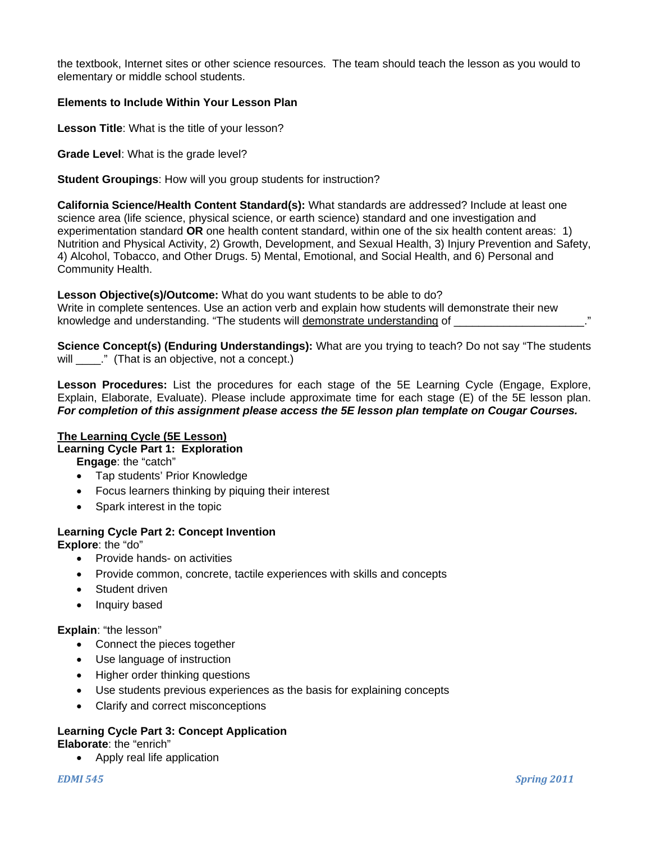the textbook, Internet sites or other science resources. The team should teach the lesson as you would to elementary or middle school students.

#### **Elements to Include Within Your Lesson Plan**

**Lesson Title**: What is the title of your lesson?

**Grade Level**: What is the grade level?

**Student Groupings**: How will you group students for instruction?

**California Science/Health Content Standard(s):** What standards are addressed? Include at least one science area (life science, physical science, or earth science) standard and one investigation and experimentation standard **OR** one health content standard, within one of the six health content areas: 1) Nutrition and Physical Activity, 2) Growth, Development, and Sexual Health, 3) Injury Prevention and Safety, 4) Alcohol, Tobacco, and Other Drugs. 5) Mental, Emotional, and Social Health, and 6) Personal and Community Health.

**Lesson Objective(s)/Outcome:** What do you want students to be able to do? Write in complete sentences. Use an action verb and explain how students will demonstrate their new knowledge and understanding. "The students will demonstrate understanding of \_\_\_\_\_\_\_\_\_\_\_\_\_\_\_\_\_\_\_\_\_\_

**Science Concept(s) (Enduring Understandings):** What are you trying to teach? Do not say "The students will  $\blacksquare$ ." (That is an objective, not a concept.)

 Explain, Elaborate, Evaluate). Please include approximate time for each stage (E) of the 5E lesson plan. *For completion of this assignment please access the 5E lesson plan template on Cougar Courses.* **Lesson Procedures:** List the procedures for each stage of the 5E Learning Cycle (Engage, Explore,

## **The Learning Cycle (5E Lesson)**

#### **Learning Cycle Part 1: Exploration**

**Engage**: the "catch"

- Tap students' Prior Knowledge
- Focus learners thinking by piquing their interest
- Spark interest in the topic

# **Learning Cycle Part 2: Concept Invention**

**Explore**: the "do"

- Provide hands- on activities
- Provide common, concrete, tactile experiences with skills and concepts
- Student driven
- Inquiry based

## **Explain**: "the lesson"

- Connect the pieces together
- Use language of instruction
- Higher order thinking questions
- Use students previous experiences as the basis for explaining concepts
- Clarify and correct misconceptions

# **Learning Cycle Part 3: Concept Application**

**Elaborate**: the "enrich"

• Apply real life application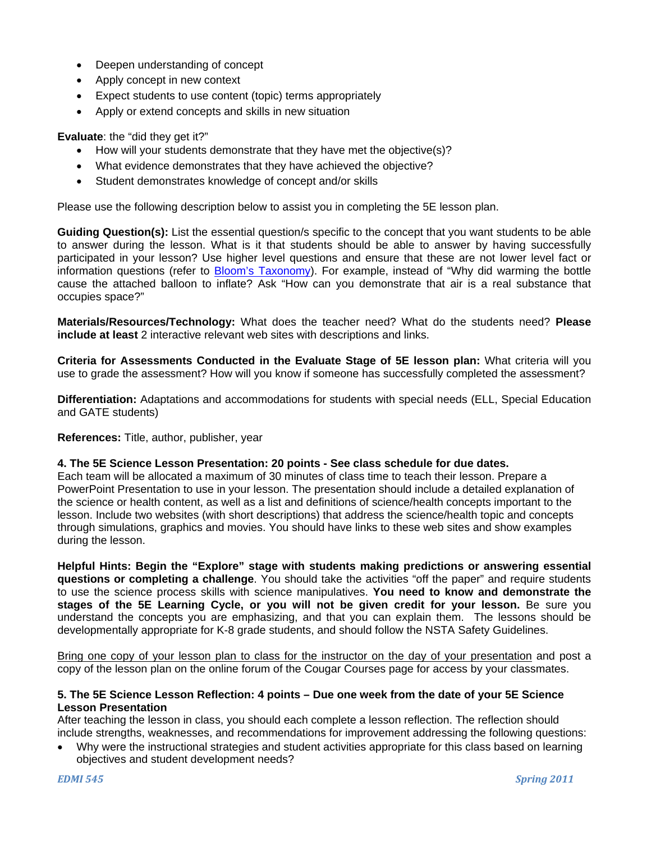- Deepen understanding of concept
- Apply concept in new context
- Expect students to use content (topic) terms appropriately
- Apply or extend concepts and skills in new situation

## **Evaluate**: the "did they get it?"

- How will your students demonstrate that they have met the objective(s)?
- What evidence demonstrates that they have achieved the objective?
- Student demonstrates knowledge of concept and/or skills

Please use the following description below to assist you in completing the 5E lesson plan.

**Guiding Question(s):** List the essential question/s specific to the concept that you want students to be able to answer during the lesson. What is it that students should be able to answer by having successfully participated in your lesson? Use higher level questions and ensure that these are not lower level fact or information questions (refer to Bloom's Taxonomy). For example, instead of "Why did warming the bottle cause the attached balloon to inflate? Ask "How can you demonstrate that air is a real substance that occupies space?"

**Materials/Resources/Technology:** What does the teacher need? What do the students need? **Please include at least** 2 interactive relevant web sites with descriptions and links.

**Criteria for Assessments Conducted in the Evaluate Stage of 5E lesson plan:** What criteria will you use to grade the assessment? How will you know if someone has successfully completed the assessment?

**Differentiation:** Adaptations and accommodations for students with special needs (ELL, Special Education and GATE students)

#### **References:** Title, author, publisher, year

## **4. The 5E Science Lesson Presentation: 20 points - See class schedule for due dates.**

Each team will be allocated a maximum of 30 minutes of class time to teach their lesson. Prepare a PowerPoint Presentation to use in your lesson. The presentation should include a detailed explanation of the science or health content, as well as a list and definitions of science/health concepts important to the lesson. Include two websites (with short descriptions) that address the science/health topic and concepts through simulations, graphics and movies. You should have links to these web sites and show examples during the lesson.

**Helpful Hints: Begin the "Explore" stage with students making predictions or answering essential questions or completing a challenge**. You should take the activities "off the paper" and require students to use the science process skills with science manipulatives. **You need to know and demonstrate the stages of the 5E Learning Cycle, or you will not be given credit for your lesson.** Be sure you understand the concepts you are emphasizing, and that you can explain them. The lessons should be developmentally appropriate for K-8 grade students, and should follow the NSTA Safety Guidelines.

Bring one copy of your lesson plan to class for the instructor on the day of your presentation and post a copy of the lesson plan on the online forum of the Cougar Courses page for access by your classmates.

#### **5. The 5E Science Lesson Reflection: 4 points – Due one week from the date of your 5E Science Lesson Presentation**

After teaching the lesson in class, you should each complete a lesson reflection. The reflection should include strengths, weaknesses, and recommendations for improvement addressing the following questions:

 Why were the instructional strategies and student activities appropriate for this class based on learning objectives and student development needs?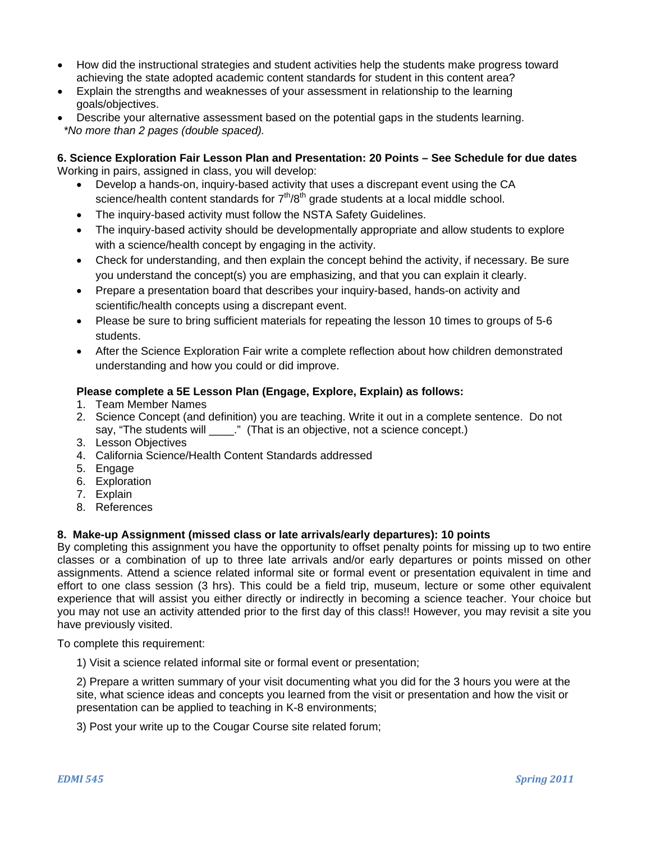- How did the instructional strategies and student activities help the students make progress toward achieving the state adopted academic content standards for student in this content area?
- Explain the strengths and weaknesses of your assessment in relationship to the learning goals/objectives.
- Describe your alternative assessment based on the potential gaps in the students learning. *\*No more than 2 pages (double spaced).*

## **6. Science Exploration Fair Lesson Plan and Presentation: 20 Points – See Schedule for due dates**  Working in pairs, assigned in class, you will develop:

- Develop a hands-on, inquiry-based activity that uses a discrepant event using the CA science/health content standards for  $7<sup>th</sup>/8<sup>th</sup>$  grade students at a local middle school.
- The inquiry-based activity must follow the NSTA Safety Guidelines.
- The inquiry-based activity should be developmentally appropriate and allow students to explore with a science/health concept by engaging in the activity.
- Check for understanding, and then explain the concept behind the activity, if necessary. Be sure you understand the concept(s) you are emphasizing, and that you can explain it clearly.
- Prepare a presentation board that describes your inquiry-based, hands-on activity and scientific/health concepts using a discrepant event.
- Please be sure to bring sufficient materials for repeating the lesson 10 times to groups of 5-6 students.
- After the Science Exploration Fair write a complete reflection about how children demonstrated understanding and how you could or did improve.

## **Please complete a 5E Lesson Plan (Engage, Explore, Explain) as follows:**

- 1. Team Member Names
- 2. Science Concept (and definition) you are teaching. Write it out in a complete sentence. Do not say, "The students will  $\qquad$ ." (That is an objective, not a science concept.)
- 3. Lesson Objectives
- 4. California Science/Health Content Standards addressed
- 5. Engage
- 6. Exploration
- 7. Explain
- 8. References

# **8. Make-up Assignment (missed class or late arrivals/early departures): 10 points**

By completing this assignment you have the opportunity to offset penalty points for missing up to two entire classes or a combination of up to three late arrivals and/or early departures or points missed on other assignments. Attend a science related informal site or formal event or presentation equivalent in time and effort to one class session (3 hrs). This could be a field trip, museum, lecture or some other equivalent experience that will assist you either directly or indirectly in becoming a science teacher. Your choice but you may not use an activity attended prior to the first day of this class!! However, you may revisit a site you have previously visited.

To complete this requirement:

1) Visit a science related informal site or formal event or presentation;

2) Prepare a written summary of your visit documenting what you did for the 3 hours you were at the site, what science ideas and concepts you learned from the visit or presentation and how the visit or presentation can be applied to teaching in K-8 environments;

3) Post your write up to the Cougar Course site related forum;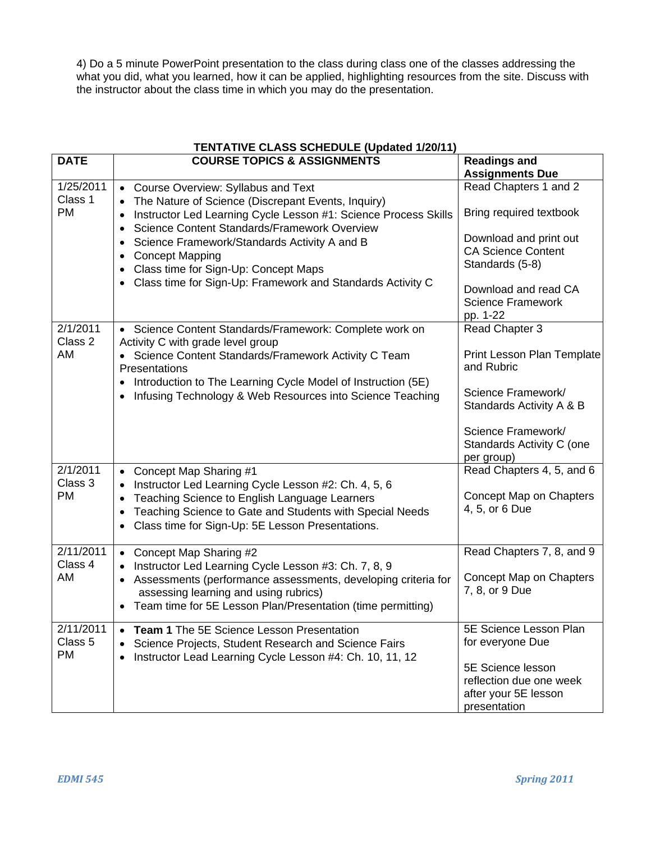4) Do a 5 minute PowerPoint presentation to the class during class one of the classes addressing the what you did, what you learned, how it can be applied, highlighting resources from the site. Discuss with the instructor about the class time in which you may do the presentation.

| <b>TENTATIVE CLASS SCHEDULE (Updated 1/20/11)</b> |                                                                                                                                                                                                                                                                                                                                                                                                                |                                                                                                                                                                                            |  |  |  |
|---------------------------------------------------|----------------------------------------------------------------------------------------------------------------------------------------------------------------------------------------------------------------------------------------------------------------------------------------------------------------------------------------------------------------------------------------------------------------|--------------------------------------------------------------------------------------------------------------------------------------------------------------------------------------------|--|--|--|
| <b>DATE</b>                                       | <b>COURSE TOPICS &amp; ASSIGNMENTS</b>                                                                                                                                                                                                                                                                                                                                                                         | <b>Readings and</b><br><b>Assignments Due</b>                                                                                                                                              |  |  |  |
| 1/25/2011<br>Class 1<br><b>PM</b>                 | • Course Overview: Syllabus and Text<br>The Nature of Science (Discrepant Events, Inquiry)<br>Instructor Led Learning Cycle Lesson #1: Science Process Skills<br>Science Content Standards/Framework Overview<br>$\bullet$<br>Science Framework/Standards Activity A and B<br><b>Concept Mapping</b><br>• Class time for Sign-Up: Concept Maps<br>• Class time for Sign-Up: Framework and Standards Activity C | Read Chapters 1 and 2<br>Bring required textbook<br>Download and print out<br><b>CA Science Content</b><br>Standards (5-8)<br>Download and read CA<br><b>Science Framework</b><br>pp. 1-22 |  |  |  |
| 2/1/2011<br>Class 2<br>AM                         | • Science Content Standards/Framework: Complete work on<br>Activity C with grade level group<br>• Science Content Standards/Framework Activity C Team<br>Presentations<br>Introduction to The Learning Cycle Model of Instruction (5E)<br>Infusing Technology & Web Resources into Science Teaching<br>$\bullet$                                                                                               | Read Chapter 3<br>Print Lesson Plan Template<br>and Rubric<br>Science Framework/<br>Standards Activity A & B<br>Science Framework/<br>Standards Activity C (one<br>per group)              |  |  |  |
| 2/1/2011<br>Class 3<br><b>PM</b>                  | Concept Map Sharing #1<br>Instructor Led Learning Cycle Lesson #2: Ch. 4, 5, 6<br>Teaching Science to English Language Learners<br>Teaching Science to Gate and Students with Special Needs<br>$\bullet$<br>Class time for Sign-Up: 5E Lesson Presentations.<br>$\bullet$                                                                                                                                      | Read Chapters 4, 5, and 6<br>Concept Map on Chapters<br>4, 5, or 6 Due                                                                                                                     |  |  |  |
| 2/11/2011<br>Class 4<br>AM                        | • Concept Map Sharing #2<br>Instructor Led Learning Cycle Lesson #3: Ch. 7, 8, 9<br>Assessments (performance assessments, developing criteria for<br>assessing learning and using rubrics)<br>• Team time for 5E Lesson Plan/Presentation (time permitting)                                                                                                                                                    | Read Chapters 7, 8, and 9<br>Concept Map on Chapters<br>7, 8, or 9 Due                                                                                                                     |  |  |  |
| 2/11/2011<br>Class 5<br><b>PM</b>                 | <b>Team 1</b> The 5E Science Lesson Presentation<br>Science Projects, Student Research and Science Fairs<br>Instructor Lead Learning Cycle Lesson #4: Ch. 10, 11, 12<br>$\bullet$                                                                                                                                                                                                                              | 5E Science Lesson Plan<br>for everyone Due<br>5E Science lesson<br>reflection due one week<br>after your 5E lesson<br>presentation                                                         |  |  |  |